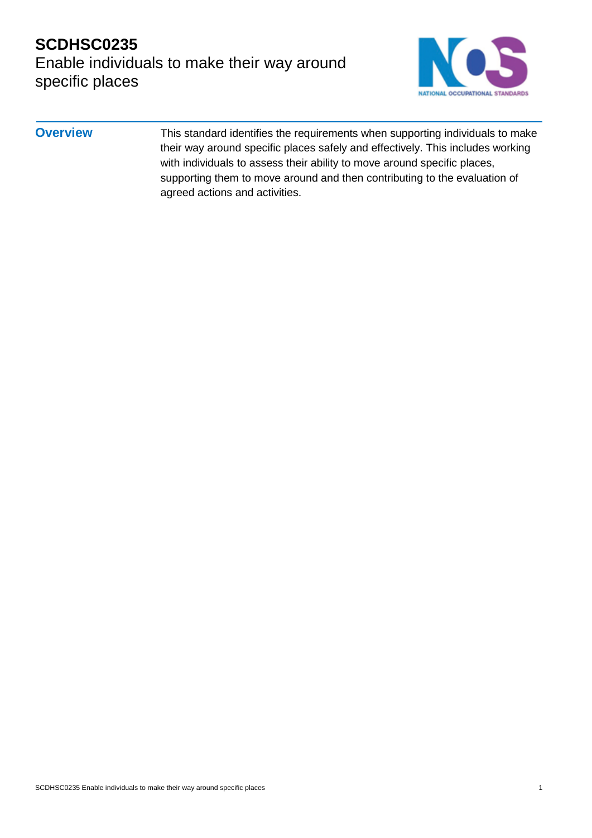### **SCDHSC0235**  Enable individuals to make their way around specific places



**Overview** This standard identifies the requirements when supporting individuals to make their way around specific places safely and effectively. This includes working with individuals to assess their ability to move around specific places, supporting them to move around and then contributing to the evaluation of agreed actions and activities.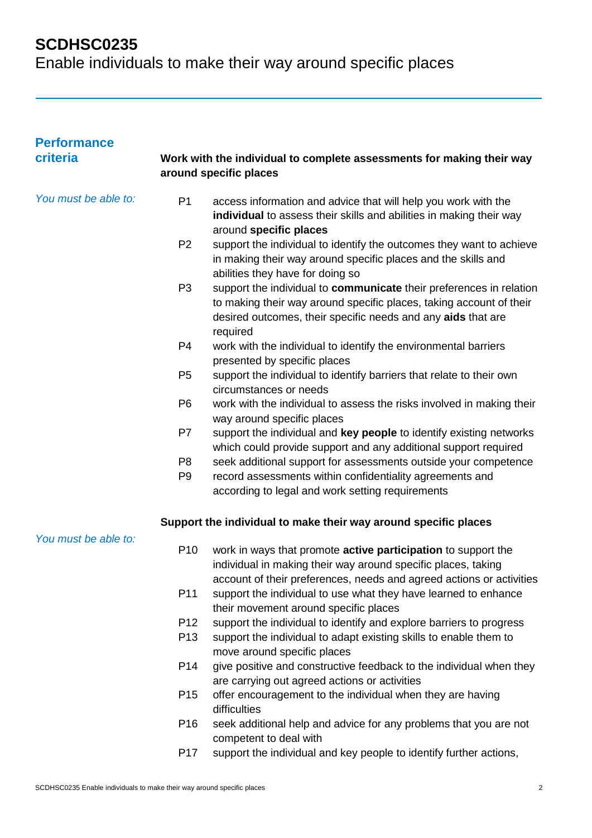| <b>Performance</b>   |                                  |                                                                                                                                                                                                                        |
|----------------------|----------------------------------|------------------------------------------------------------------------------------------------------------------------------------------------------------------------------------------------------------------------|
| criteria             |                                  | Work with the individual to complete assessments for making their way<br>around specific places                                                                                                                        |
| You must be able to: | P <sub>1</sub>                   | access information and advice that will help you work with the<br>individual to assess their skills and abilities in making their way<br>around specific places                                                        |
|                      | P <sub>2</sub>                   | support the individual to identify the outcomes they want to achieve<br>in making their way around specific places and the skills and<br>abilities they have for doing so                                              |
|                      | P <sub>3</sub>                   | support the individual to communicate their preferences in relation<br>to making their way around specific places, taking account of their<br>desired outcomes, their specific needs and any aids that are<br>required |
|                      | P <sub>4</sub>                   | work with the individual to identify the environmental barriers<br>presented by specific places                                                                                                                        |
|                      | P <sub>5</sub>                   | support the individual to identify barriers that relate to their own<br>circumstances or needs                                                                                                                         |
|                      | P <sub>6</sub>                   | work with the individual to assess the risks involved in making their<br>way around specific places                                                                                                                    |
|                      | P7                               | support the individual and key people to identify existing networks<br>which could provide support and any additional support required                                                                                 |
|                      | P <sub>8</sub><br>P <sub>9</sub> | seek additional support for assessments outside your competence<br>record assessments within confidentiality agreements and<br>according to legal and work setting requirements                                        |
|                      |                                  | Support the individual to make their way around specific places                                                                                                                                                        |
| You must be able to: | P <sub>10</sub>                  | work in ways that promote active participation to support the<br>individual in making their way around specific places, taking<br>account of their preferences, needs and agreed actions or activities                 |
|                      | P11                              | support the individual to use what they have learned to enhance<br>their movement around specific places                                                                                                               |
|                      | P <sub>12</sub>                  | support the individual to identify and explore barriers to progress                                                                                                                                                    |
|                      | P <sub>13</sub>                  | support the individual to adapt existing skills to enable them to<br>move around specific places                                                                                                                       |
|                      | P14                              | give positive and constructive feedback to the individual when they<br>are carrying out agreed actions or activities                                                                                                   |
|                      | P <sub>15</sub>                  | offer encouragement to the individual when they are having<br>difficulties                                                                                                                                             |
|                      | P <sub>16</sub>                  | seek additional help and advice for any problems that you are not<br>competent to deal with                                                                                                                            |
|                      | P <sub>17</sub>                  | support the individual and key people to identify further actions,                                                                                                                                                     |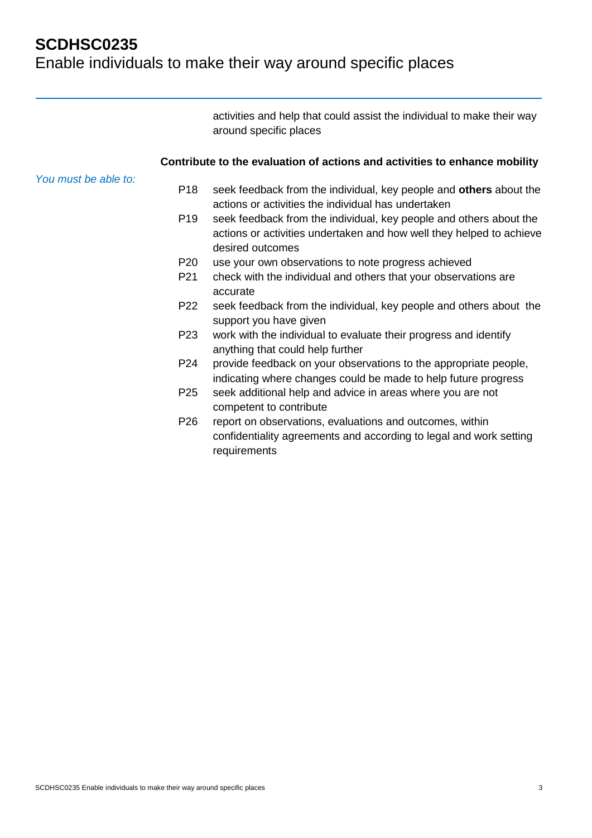Enable individuals to make their way around specific places

activities and help that could assist the individual to make their way around specific places

#### **Contribute to the evaluation of actions and activities to enhance mobility**

| You must be able to: |  |
|----------------------|--|
|                      |  |
|                      |  |

- P18 seek feedback from the individual, key people and **others** about the actions or activities the individual has undertaken
- P19 seek feedback from the individual, key people and others about the actions or activities undertaken and how well they helped to achieve desired outcomes
- P20 use your own observations to note progress achieved
- P21 check with the individual and others that your observations are accurate
- P22 seek feedback from the individual, key people and others about the support you have given
- P23 work with the individual to evaluate their progress and identify anything that could help further
- P24 provide feedback on your observations to the appropriate people, indicating where changes could be made to help future progress
- P25 seek additional help and advice in areas where you are not competent to contribute
- P26 report on observations, evaluations and outcomes, within confidentiality agreements and according to legal and work setting requirements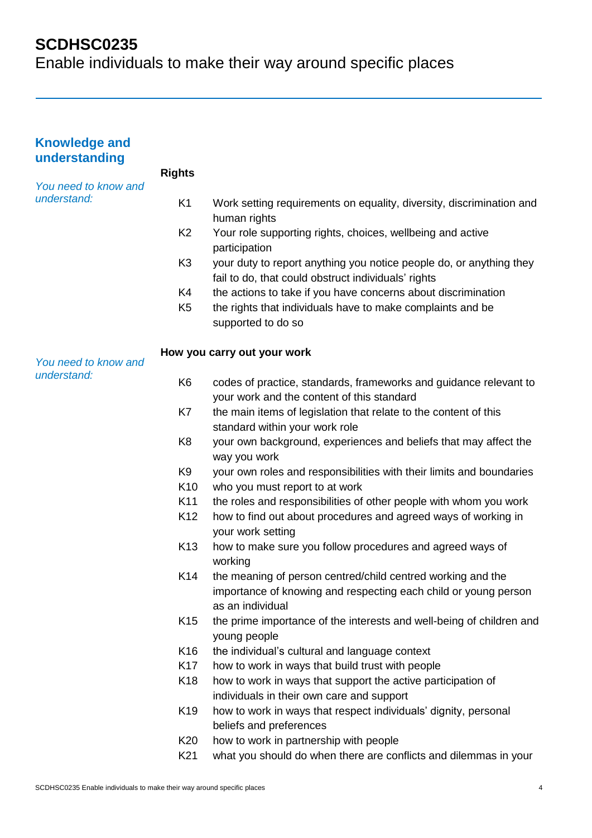| <b>Knowledge and</b><br>understanding |                 |                                                                                                                                                    |
|---------------------------------------|-----------------|----------------------------------------------------------------------------------------------------------------------------------------------------|
|                                       | <b>Rights</b>   |                                                                                                                                                    |
| You need to know and<br>understand:   | K <sub>1</sub>  | Work setting requirements on equality, diversity, discrimination and<br>human rights                                                               |
|                                       | K <sub>2</sub>  | Your role supporting rights, choices, wellbeing and active<br>participation                                                                        |
|                                       | K <sub>3</sub>  | your duty to report anything you notice people do, or anything they<br>fail to do, that could obstruct individuals' rights                         |
|                                       | K4              | the actions to take if you have concerns about discrimination                                                                                      |
|                                       | K <sub>5</sub>  | the rights that individuals have to make complaints and be<br>supported to do so                                                                   |
| You need to know and                  |                 | How you carry out your work                                                                                                                        |
| understand:                           | K <sub>6</sub>  | codes of practice, standards, frameworks and guidance relevant to<br>your work and the content of this standard                                    |
|                                       | K7              | the main items of legislation that relate to the content of this<br>standard within your work role                                                 |
|                                       | K <sub>8</sub>  | your own background, experiences and beliefs that may affect the<br>way you work                                                                   |
|                                       | K <sub>9</sub>  | your own roles and responsibilities with their limits and boundaries                                                                               |
|                                       | K <sub>10</sub> | who you must report to at work                                                                                                                     |
|                                       | K11             | the roles and responsibilities of other people with whom you work                                                                                  |
|                                       | K <sub>12</sub> | how to find out about procedures and agreed ways of working in<br>your work setting                                                                |
|                                       | K <sub>13</sub> | how to make sure you follow procedures and agreed ways of<br>working                                                                               |
|                                       | K14             | the meaning of person centred/child centred working and the<br>importance of knowing and respecting each child or young person<br>as an individual |
|                                       | K <sub>15</sub> | the prime importance of the interests and well-being of children and<br>young people                                                               |
|                                       | K <sub>16</sub> | the individual's cultural and language context                                                                                                     |
|                                       | K <sub>17</sub> | how to work in ways that build trust with people                                                                                                   |
|                                       | K <sub>18</sub> | how to work in ways that support the active participation of                                                                                       |
|                                       |                 | individuals in their own care and support                                                                                                          |
|                                       | K <sub>19</sub> | how to work in ways that respect individuals' dignity, personal<br>beliefs and preferences                                                         |
|                                       | K <sub>20</sub> | how to work in partnership with people                                                                                                             |
|                                       | K21             | what you should do when there are conflicts and dilemmas in your                                                                                   |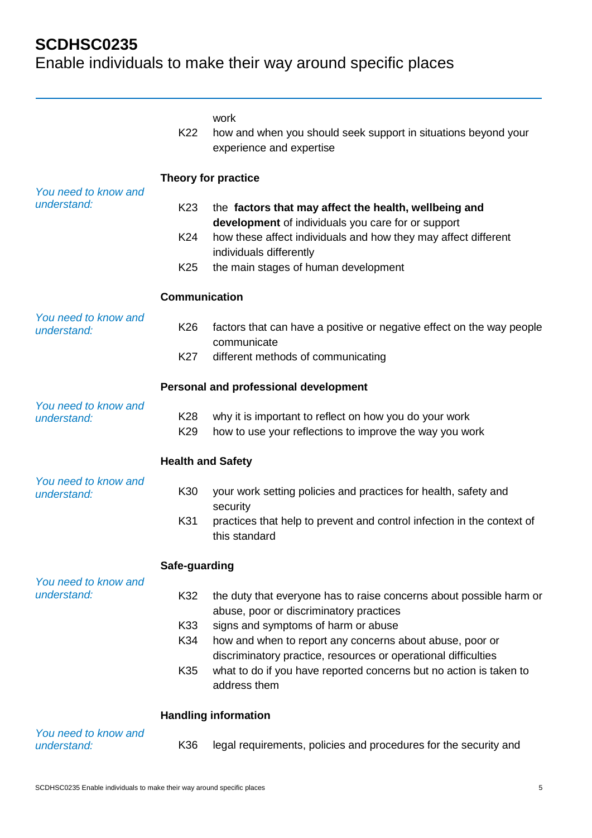|                                     | K22                                | work<br>how and when you should seek support in situations beyond your<br>experience and expertise                         |  |  |
|-------------------------------------|------------------------------------|----------------------------------------------------------------------------------------------------------------------------|--|--|
|                                     | Theory for practice                |                                                                                                                            |  |  |
| You need to know and<br>understand: | K <sub>23</sub>                    | the factors that may affect the health, wellbeing and                                                                      |  |  |
|                                     | K24                                | development of individuals you care for or support<br>how these affect individuals and how they may affect different       |  |  |
|                                     | K <sub>25</sub>                    | individuals differently<br>the main stages of human development                                                            |  |  |
|                                     | <b>Communication</b>               |                                                                                                                            |  |  |
| You need to know and<br>understand: | K <sub>26</sub>                    | factors that can have a positive or negative effect on the way people<br>communicate                                       |  |  |
|                                     | K27                                | different methods of communicating                                                                                         |  |  |
|                                     |                                    | Personal and professional development                                                                                      |  |  |
| You need to know and<br>understand: | K <sub>28</sub><br>K <sub>29</sub> | why it is important to reflect on how you do your work<br>how to use your reflections to improve the way you work          |  |  |
|                                     | <b>Health and Safety</b>           |                                                                                                                            |  |  |
| You need to know and<br>understand: | K30                                | your work setting policies and practices for health, safety and<br>security                                                |  |  |
|                                     | K31                                | practices that help to prevent and control infection in the context of<br>this standard                                    |  |  |
|                                     | Safe-guarding                      |                                                                                                                            |  |  |
| You need to know and<br>understand: | K32                                | the duty that everyone has to raise concerns about possible harm or<br>abuse, poor or discriminatory practices             |  |  |
|                                     | K33                                | signs and symptoms of harm or abuse                                                                                        |  |  |
|                                     | K34                                | how and when to report any concerns about abuse, poor or<br>discriminatory practice, resources or operational difficulties |  |  |
|                                     | K35                                | what to do if you have reported concerns but no action is taken to<br>address them                                         |  |  |
|                                     |                                    | <b>Handling information</b>                                                                                                |  |  |
| You need to know and<br>understand: | K36                                | legal requirements, policies and procedures for the security and                                                           |  |  |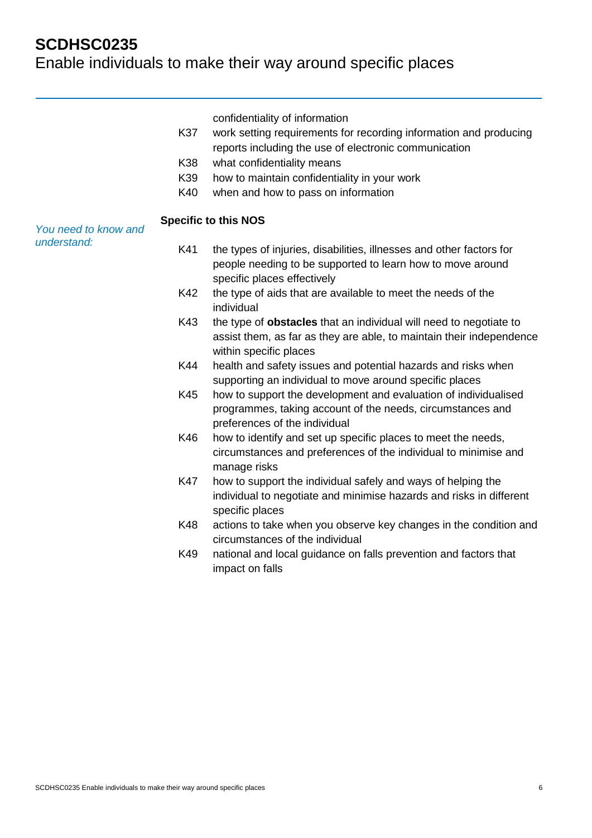### Enable individuals to make their way around specific places

|     | confidentiality of information                                    |
|-----|-------------------------------------------------------------------|
| K37 | work setting requirements for recording information and producing |
|     | reports including the use of electronic communication             |
| K38 | what confidentiality means                                        |
| K39 | how to maintain confidentiality in your work                      |
| K40 | when and how to pass on information                               |

#### **Specific to this NOS**

*You need to know and understand:*

- K41 the types of injuries, disabilities, illnesses and other factors for people needing to be supported to learn how to move around specific places effectively
- K42 the type of aids that are available to meet the needs of the individual
- K43 the type of **obstacles** that an individual will need to negotiate to assist them, as far as they are able, to maintain their independence within specific places
- K44 health and safety issues and potential hazards and risks when supporting an individual to move around specific places
- K45 how to support the development and evaluation of individualised programmes, taking account of the needs, circumstances and preferences of the individual
- K46 how to identify and set up specific places to meet the needs, circumstances and preferences of the individual to minimise and manage risks
- K47 how to support the individual safely and ways of helping the individual to negotiate and minimise hazards and risks in different specific places
- K48 actions to take when you observe key changes in the condition and circumstances of the individual
- K49 national and local guidance on falls prevention and factors that impact on falls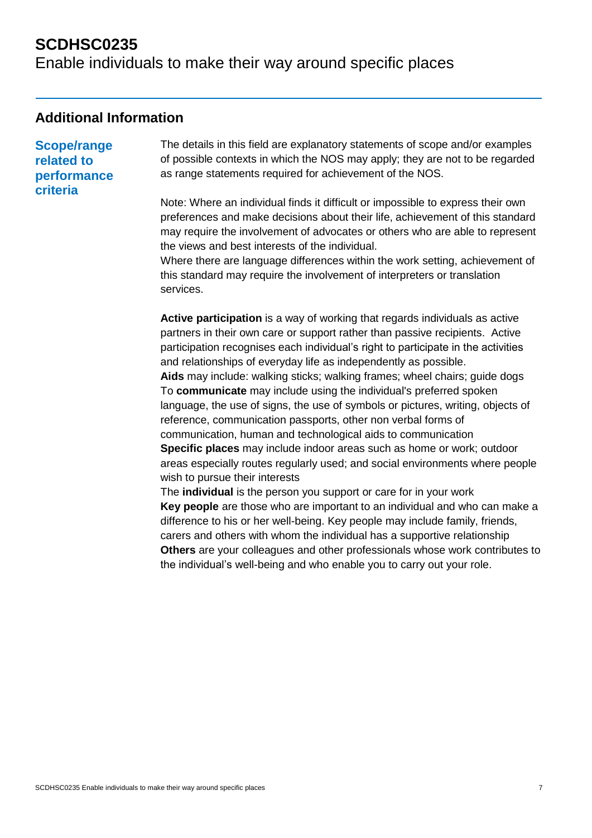Enable individuals to make their way around specific places

### **Additional Information**

**Scope/range related to performance criteria**

The details in this field are explanatory statements of scope and/or examples of possible contexts in which the NOS may apply; they are not to be regarded as range statements required for achievement of the NOS.

Note: Where an individual finds it difficult or impossible to express their own preferences and make decisions about their life, achievement of this standard may require the involvement of advocates or others who are able to represent the views and best interests of the individual.

Where there are language differences within the work setting, achievement of this standard may require the involvement of interpreters or translation services.

**Active participation** is a way of working that regards individuals as active partners in their own care or support rather than passive recipients. Active participation recognises each individual's right to participate in the activities and relationships of everyday life as independently as possible. **Aids** may include: walking sticks; walking frames; wheel chairs; guide dogs To **communicate** may include using the individual's preferred spoken language, the use of signs, the use of symbols or pictures, writing, objects of reference, communication passports, other non verbal forms of communication, human and technological aids to communication **Specific places** may include indoor areas such as home or work; outdoor areas especially routes regularly used; and social environments where people wish to pursue their interests

The **individual** is the person you support or care for in your work **Key people** are those who are important to an individual and who can make a difference to his or her well-being. Key people may include family, friends, carers and others with whom the individual has a supportive relationship **Others** are your colleagues and other professionals whose work contributes to the individual's well-being and who enable you to carry out your role.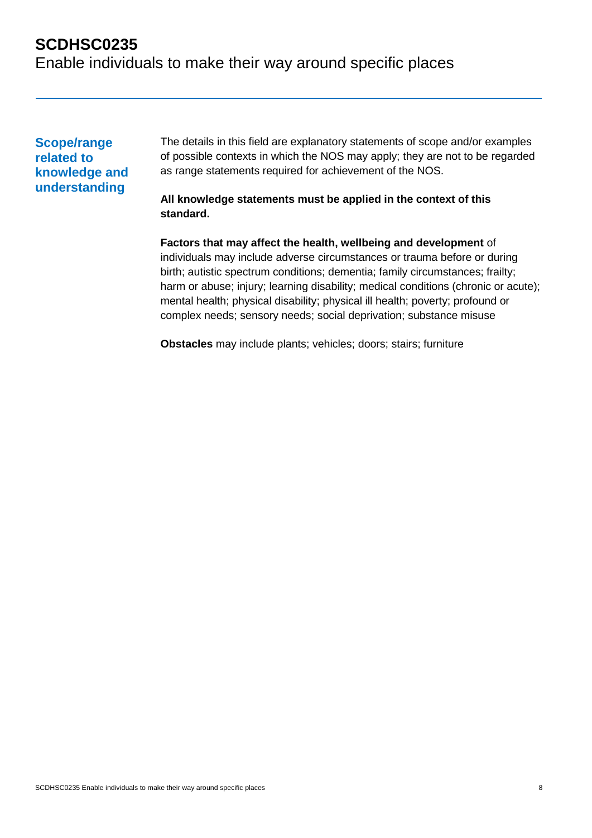Enable individuals to make their way around specific places

**Scope/range related to knowledge and understanding**

The details in this field are explanatory statements of scope and/or examples of possible contexts in which the NOS may apply; they are not to be regarded as range statements required for achievement of the NOS.

### **All knowledge statements must be applied in the context of this standard.**

**Factors that may affect the health, wellbeing and development** of individuals may include adverse circumstances or trauma before or during birth; autistic spectrum conditions; dementia; family circumstances; frailty; harm or abuse; injury; learning disability; medical conditions (chronic or acute); mental health; physical disability; physical ill health; poverty; profound or complex needs; sensory needs; social deprivation; substance misuse

**Obstacles** may include plants; vehicles; doors; stairs; furniture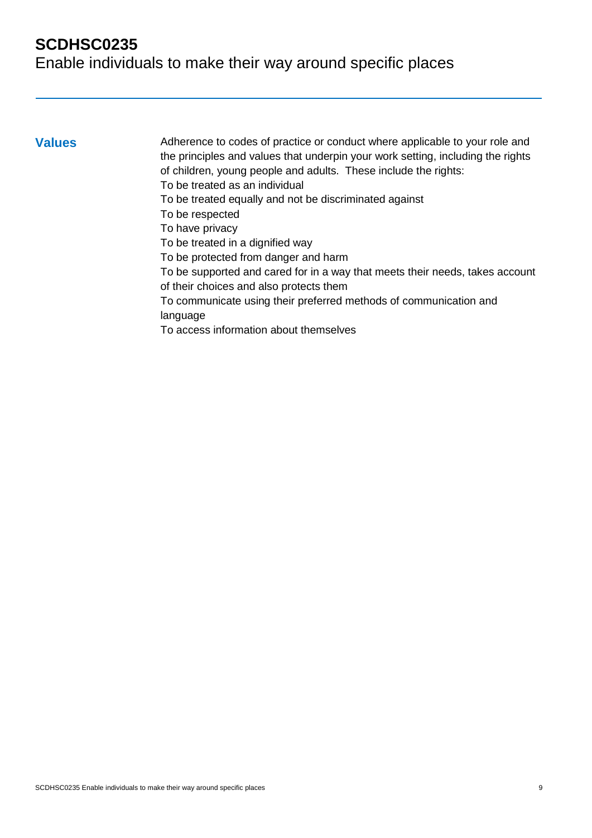Enable individuals to make their way around specific places

**Values** Adherence to codes of practice or conduct where applicable to your role and the principles and values that underpin your work setting, including the rights of children, young people and adults. These include the rights: To be treated as an individual To be treated equally and not be discriminated against To be respected To have privacy To be treated in a dignified way To be protected from danger and harm To be supported and cared for in a way that meets their needs, takes account of their choices and also protects them

> To communicate using their preferred methods of communication and language

To access information about themselves